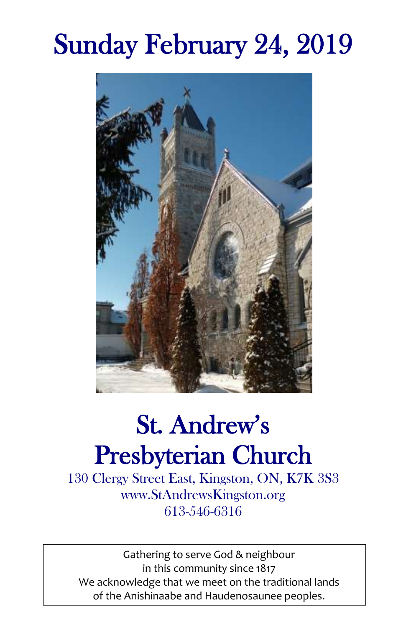# Sunday February 24, 2019



# St. Andrew's Presbyterian Church

130 Clergy Street East, Kingston, ON, K7K 3S3 www.StAndrewsKingston.org 613-546-6316

Gathering to serve God & neighbour in this community since 1817 We acknowledge that we meet on the traditional lands of the Anishinaabe and Haudenosaunee peoples.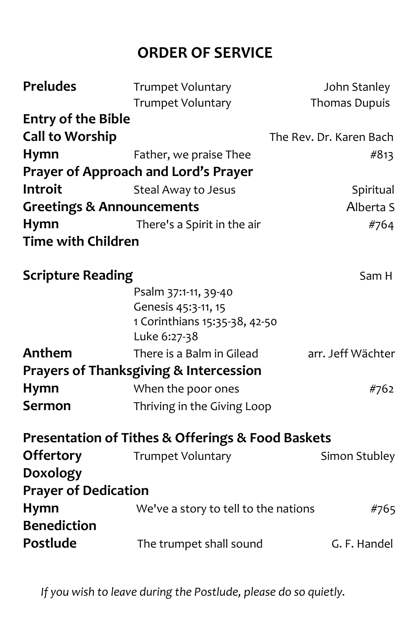### **ORDER OF SERVICE**

| <b>Preludes</b>                      | <b>Trumpet Voluntary</b>                                         | John Stanley            |
|--------------------------------------|------------------------------------------------------------------|-------------------------|
|                                      | <b>Trumpet Voluntary</b>                                         | Thomas Dupuis           |
| <b>Entry of the Bible</b>            |                                                                  |                         |
| <b>Call to Worship</b>               |                                                                  | The Rev. Dr. Karen Bach |
| <b>Hymn</b>                          | Father, we praise Thee                                           | #813                    |
|                                      | Prayer of Approach and Lord's Prayer                             |                         |
| Introit                              | Steal Away to Jesus                                              | Spiritual               |
| <b>Greetings &amp; Announcements</b> |                                                                  | Alberta S               |
| <b>Hymn</b>                          | There's a Spirit in the air                                      | #764                    |
| <b>Time with Children</b>            |                                                                  |                         |
| <b>Scripture Reading</b>             |                                                                  | Sam H                   |
|                                      | Psalm 37:1-11, 39-40                                             |                         |
|                                      | Genesis 45:3-11, 15                                              |                         |
|                                      | 1 Corinthians 15:35-38, 42-50                                    |                         |
|                                      | Luke 6:27-38                                                     |                         |
| Anthem                               | There is a Balm in Gilead                                        | arr. Jeff Wächter       |
|                                      | <b>Prayers of Thanksgiving &amp; Intercession</b>                |                         |
| <b>Hymn</b>                          | When the poor ones                                               | #762                    |
| <b>Sermon</b>                        | Thriving in the Giving Loop                                      |                         |
|                                      | <b>Presentation of Tithes &amp; Offerings &amp; Food Baskets</b> |                         |
| <b>Offertory</b>                     | <b>Trumpet Voluntary</b>                                         | Simon Stubley           |
| <b>Doxology</b>                      |                                                                  |                         |
| <b>Prayer of Dedication</b>          |                                                                  |                         |
| <b>Hymn</b>                          | We've a story to tell to the nations                             | #765                    |
| <b>Benediction</b>                   |                                                                  |                         |
| Postlude                             | The trumpet shall sound                                          | G. F. Handel            |
|                                      |                                                                  |                         |

*If you wish to leave during the Postlude, please do so quietly.*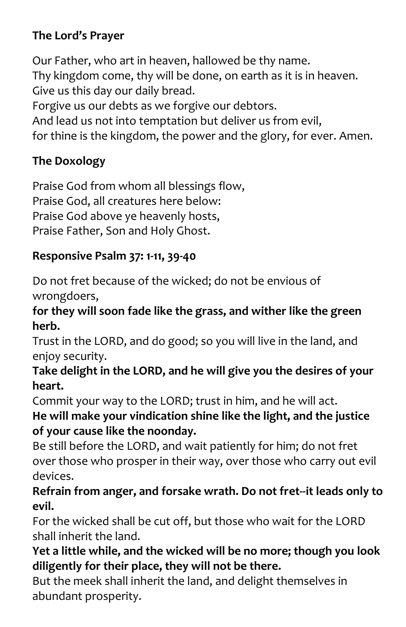#### **The Lord's Prayer**

Our Father, who art in heaven, hallowed be thy name. Thy kingdom come, thy will be done, on earth as it is in heaven. Give us this day our daily bread. Forgive us our debts as we forgive our debtors. And lead us not into temptation but deliver us from evil, for thine is the kingdom, the power and the glory, for ever. Amen.

#### **The Doxology**

Praise God from whom all blessings flow, Praise God, all creatures here below: Praise God above ye heavenly hosts, Praise Father, Son and Holy Ghost.

#### **Responsive Psalm 37: 1-11, 39-40**

Do not fret because of the wicked; do not be envious of wrongdoers,

#### **for they will soon fade like the grass, and wither like the green herb.**

Trust in the LORD, and do good; so you will live in the land, and enjoy security.

#### **Take delight in the LORD, and he will give you the desires of your heart.**

Commit your way to the LORD; trust in him, and he will act.

#### **He will make your vindication shine like the light, and the justice of your cause like the noonday.**

Be still before the LORD, and wait patiently for him; do not fret over those who prosper in their way, over those who carry out evil devices.

#### **Refrain from anger, and forsake wrath. Do not fret--it leads only to evil.**

For the wicked shall be cut off, but those who wait for the LORD shall inherit the land.

#### **Yet a little while, and the wicked will be no more; though you look diligently for their place, they will not be there.**

But the meek shall inherit the land, and delight themselves in abundant prosperity.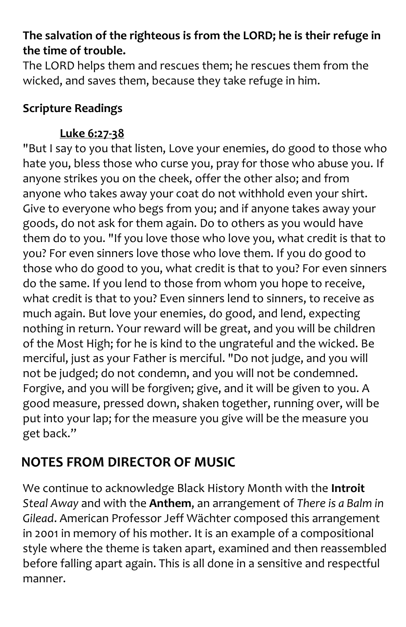#### **The salvation of the righteous is from the LORD; he is their refuge in the time of trouble.**

The LORD helps them and rescues them; he rescues them from the wicked, and saves them, because they take refuge in him.

#### **Scripture Readings**

#### **Luke 6:27-38**

"But I say to you that listen, Love your enemies, do good to those who hate you, bless those who curse you, pray for those who abuse you. If anyone strikes you on the cheek, offer the other also; and from anyone who takes away your coat do not withhold even your shirt. Give to everyone who begs from you; and if anyone takes away your goods, do not ask for them again. Do to others as you would have them do to you. "If you love those who love you, what credit is that to you? For even sinners love those who love them. If you do good to those who do good to you, what credit is that to you? For even sinners do the same. If you lend to those from whom you hope to receive, what credit is that to you? Even sinners lend to sinners, to receive as much again. But love your enemies, do good, and lend, expecting nothing in return. Your reward will be great, and you will be children of the Most High; for he is kind to the ungrateful and the wicked. Be merciful, just as your Father is merciful. "Do not judge, and you will not be judged; do not condemn, and you will not be condemned. Forgive, and you will be forgiven; give, and it will be given to you. A good measure, pressed down, shaken together, running over, will be put into your lap; for the measure you give will be the measure you get back."

## **NOTES FROM DIRECTOR OF MUSIC**

We continue to acknowledge Black History Month with the **Introit** *Steal Away* and with the **Anthem**, an arrangement of *There is a Balm in Gilead*. American Professor Jeff Wächter composed this arrangement in 2001 in memory of his mother. It is an example of a compositional style where the theme is taken apart, examined and then reassembled before falling apart again. This is all done in a sensitive and respectful manner.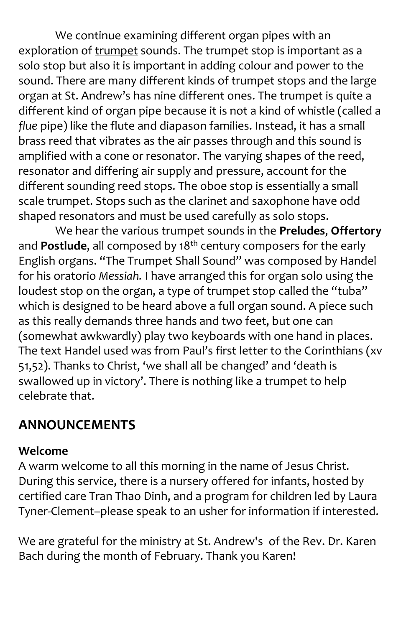We continue examining different organ pipes with an exploration of trumpet sounds. The trumpet stop is important as a solo stop but also it is important in adding colour and power to the sound. There are many different kinds of trumpet stops and the large organ at St. Andrew's has nine different ones. The trumpet is quite a different kind of organ pipe because it is not a kind of whistle (called a *flue* pipe) like the flute and diapason families. Instead, it has a small brass reed that vibrates as the air passes through and this sound is amplified with a cone or resonator. The varying shapes of the reed, resonator and differing air supply and pressure, account for the different sounding reed stops. The oboe stop is essentially a small scale trumpet. Stops such as the clarinet and saxophone have odd shaped resonators and must be used carefully as solo stops.

We hear the various trumpet sounds in the **Preludes**, **Offertory** and **Postlude**, all composed by 18<sup>th</sup> century composers for the early English organs. "The Trumpet Shall Sound" was composed by Handel for his oratorio *Messiah.* I have arranged this for organ solo using the loudest stop on the organ, a type of trumpet stop called the "tuba" which is designed to be heard above a full organ sound. A piece such as this really demands three hands and two feet, but one can (somewhat awkwardly) play two keyboards with one hand in places. The text Handel used was from Paul's first letter to the Corinthians (xv 51,52). Thanks to Christ, 'we shall all be changed' and 'death is swallowed up in victory'. There is nothing like a trumpet to help celebrate that.

### **ANNOUNCEMENTS**

#### **Welcome**

A warm welcome to all this morning in the name of Jesus Christ. During this service, there is a nursery offered for infants, hosted by certified care Tran Thao Dinh, and a program for children led by Laura Tyner-Clement–please speak to an usher for information if interested.

We are grateful for the ministry at St. Andrew's of the Rev. Dr. Karen Bach during the month of February. Thank you Karen!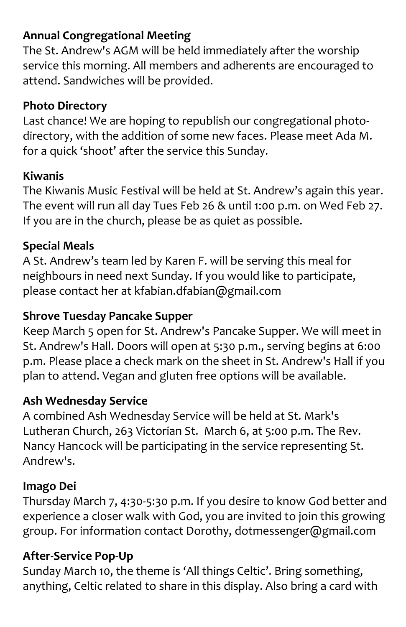#### **Annual Congregational Meeting**

The St. Andrew's AGM will be held immediately after the worship service this morning. All members and adherents are encouraged to attend. Sandwiches will be provided.

#### **Photo Directory**

Last chance! We are hoping to republish our congregational photodirectory, with the addition of some new faces. Please meet Ada M. for a quick 'shoot' after the service this Sunday.

#### **Kiwanis**

The Kiwanis Music Festival will be held at St. Andrew's again this year. The event will run all day Tues Feb 26 & until 1:00 p.m. on Wed Feb 27. If you are in the church, please be as quiet as possible.

#### **Special Meals**

A St. Andrew's team led by Karen F. will be serving this meal for neighbours in need next Sunday. If you would like to participate, please contact her at [kfabian.dfabian@gmail.com](mailto:kfabian.dfabian@gmail.com)

#### **Shrove Tuesday Pancake Supper**

Keep March 5 open for St. Andrew's Pancake Supper. We will meet in St. Andrew's Hall. Doors will open at 5:30 p.m., serving begins at 6:00 p.m. Please place a check mark on the sheet in St. Andrew's Hall if you plan to attend. Vegan and gluten free options will be available.

#### **Ash Wednesday Service**

A combined Ash Wednesday Service will be held at St. Mark's Lutheran Church, 263 Victorian St. March 6, at 5:00 p.m. The Rev. Nancy Hancock will be participating in the service representing St. Andrew's.

#### **Imago Dei**

Thursday March 7, 4:30-5:30 p.m. If you desire to know God better and experience a closer walk with God, you are invited to join this growing group. For information contact Dorothy, dotmessenger@gmail.com

#### **After-Service Pop-Up**

Sunday March 10, the theme is 'All things Celtic'. Bring something, anything, Celtic related to share in this display. Also bring a card with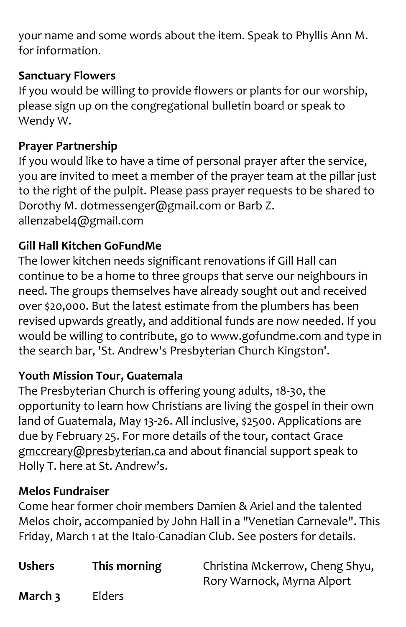your name and some words about the item. Speak to Phyllis Ann M. for information.

#### **Sanctuary Flowers**

If you would be willing to provide flowers or plants for our worship, please sign up on the congregational bulletin board or speak to Wendy W.

#### **Prayer Partnership**

If you would like to have a time of personal prayer after the service, you are invited to meet a member of the prayer team at the pillar just to the right of the pulpit. Please pass prayer requests to be shared to Dorothy M. [dotmessenger@gmail.com](mailto:dotmessenger@gmail.com) or Barb Z. [allenzabel4@gmail.com](mailto:allenzabel4@gmail.com)

#### **Gill Hall Kitchen GoFundMe**

The lower kitchen needs significant renovations if Gill Hall can continue to be a home to three groups that serve our neighbours in need. The groups themselves have already sought out and received over \$20,000. But the latest estimate from the plumbers has been revised upwards greatly, and additional funds are now needed. If you would be willing to contribute, go to [www.gofundme.com](http://www.gofundme.com/) and type in the search bar, 'St. Andrew's Presbyterian Church Kingston'.

#### **Youth Mission Tour, Guatemala**

The Presbyterian Church is offering young adults, 18-30, the opportunity to learn how Christians are living the gospel in their own land of Guatemala, May 13-26. All inclusive, \$2500. Applications are due by February 25. For more details of the tour, contact Grace gmccreary@presbyterian.ca and about financial support speak to Holly T. here at St. Andrew's.

#### **Melos Fundraiser**

Come hear former choir members Damien & Ariel and the talented Melos choir, accompanied by John Hall in a "Venetian Carnevale". This Friday, March 1 at the Italo-Canadian Club. See posters for details.

**Ushers This morning** Christina Mckerrow, Cheng Shyu, Rory Warnock, Myrna Alport

**March 3** Elders